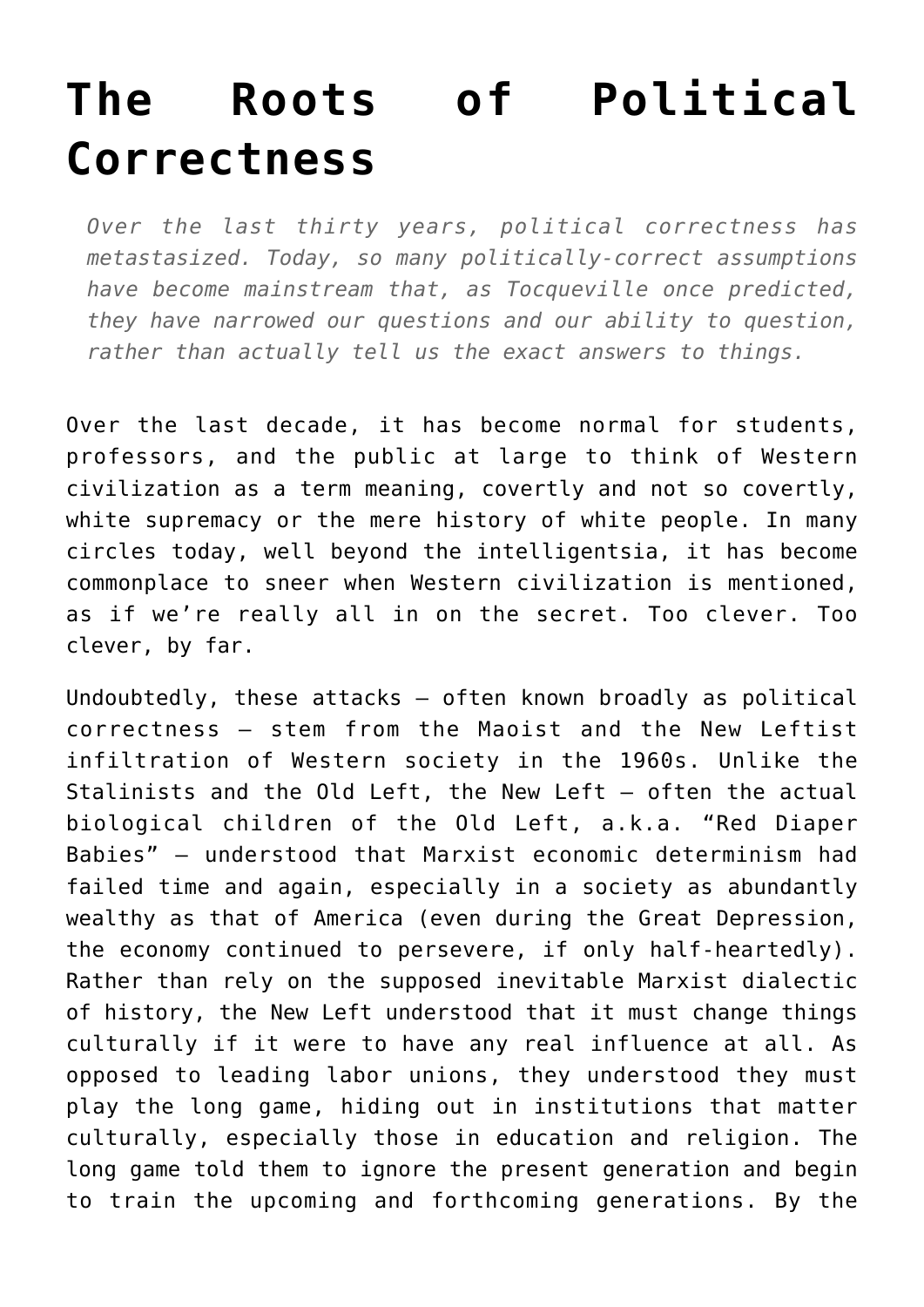## **[The Roots of Political](https://intellectualtakeout.org/2019/07/the-roots-of-political-correctness/) [Correctness](https://intellectualtakeout.org/2019/07/the-roots-of-political-correctness/)**

*Over the last thirty years, political correctness has metastasized. Today, so many politically-correct assumptions have become mainstream that, as Tocqueville once predicted, they have narrowed our questions and our ability to question, rather than actually tell us the exact answers to things.*

Over the last decade, it has become normal for students, professors, and the public at large to think of Western civilization as a term meaning, covertly and not so covertly, white supremacy or the mere history of white people. In many circles today, well beyond the intelligentsia, it has become commonplace to sneer when Western civilization is mentioned, as if we're really all in on the secret. Too clever. Too clever, by far.

Undoubtedly, these attacks – often known broadly as political correctness – stem from the Maoist and the New Leftist infiltration of Western society in the 1960s. Unlike the Stalinists and the Old Left, the New Left – often the actual biological children of the Old Left, a.k.a. "Red Diaper Babies" – understood that Marxist economic determinism had failed time and again, especially in a society as abundantly wealthy as that of America (even during the Great Depression, the economy continued to persevere, if only half-heartedly). Rather than rely on the supposed inevitable Marxist dialectic of history, the New Left understood that it must change things culturally if it were to have any real influence at all. As opposed to leading labor unions, they understood they must play the long game, hiding out in institutions that matter culturally, especially those in education and religion. The long game told them to ignore the present generation and begin to train the upcoming and forthcoming generations. By the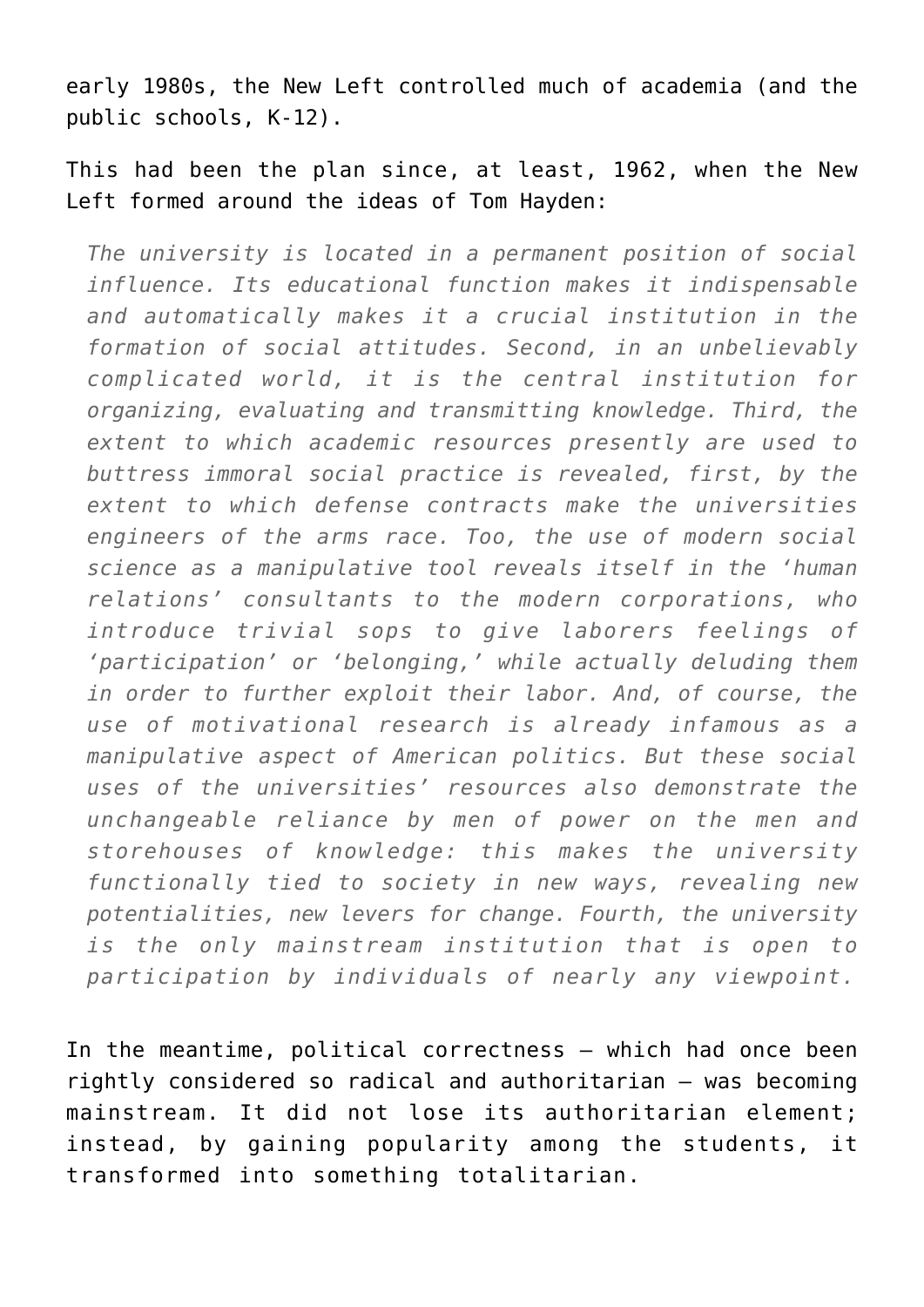early 1980s, the New Left controlled much of academia (and the public schools, K-12).

This had been the plan since, at least, 1962, when the New Left formed around the ideas of Tom Hayden:

*The university is located in a permanent position of social influence. Its educational function makes it indispensable and automatically makes it a crucial institution in the formation of social attitudes. Second, in an unbelievably complicated world, it is the central institution for organizing, evaluating and transmitting knowledge. Third, the extent to which academic resources presently are used to buttress immoral social practice is revealed, first, by the extent to which defense contracts make the universities engineers of the arms race. Too, the use of modern social science as a manipulative tool reveals itself in the 'human relations' consultants to the modern corporations, who introduce trivial sops to give laborers feelings of 'participation' or 'belonging,' while actually deluding them in order to further exploit their labor. And, of course, the use of motivational research is already infamous as a manipulative aspect of American politics. But these social uses of the universities' resources also demonstrate the unchangeable reliance by men of power on the men and storehouses of knowledge: this makes the university functionally tied to society in new ways, revealing new potentialities, new levers for change. Fourth, the university is the only mainstream institution that is open to participation by individuals of nearly any viewpoint.*

In the meantime, political correctness – which had once been rightly considered so radical and authoritarian – was becoming mainstream. It did not lose its authoritarian element; instead, by gaining popularity among the students, it transformed into something totalitarian.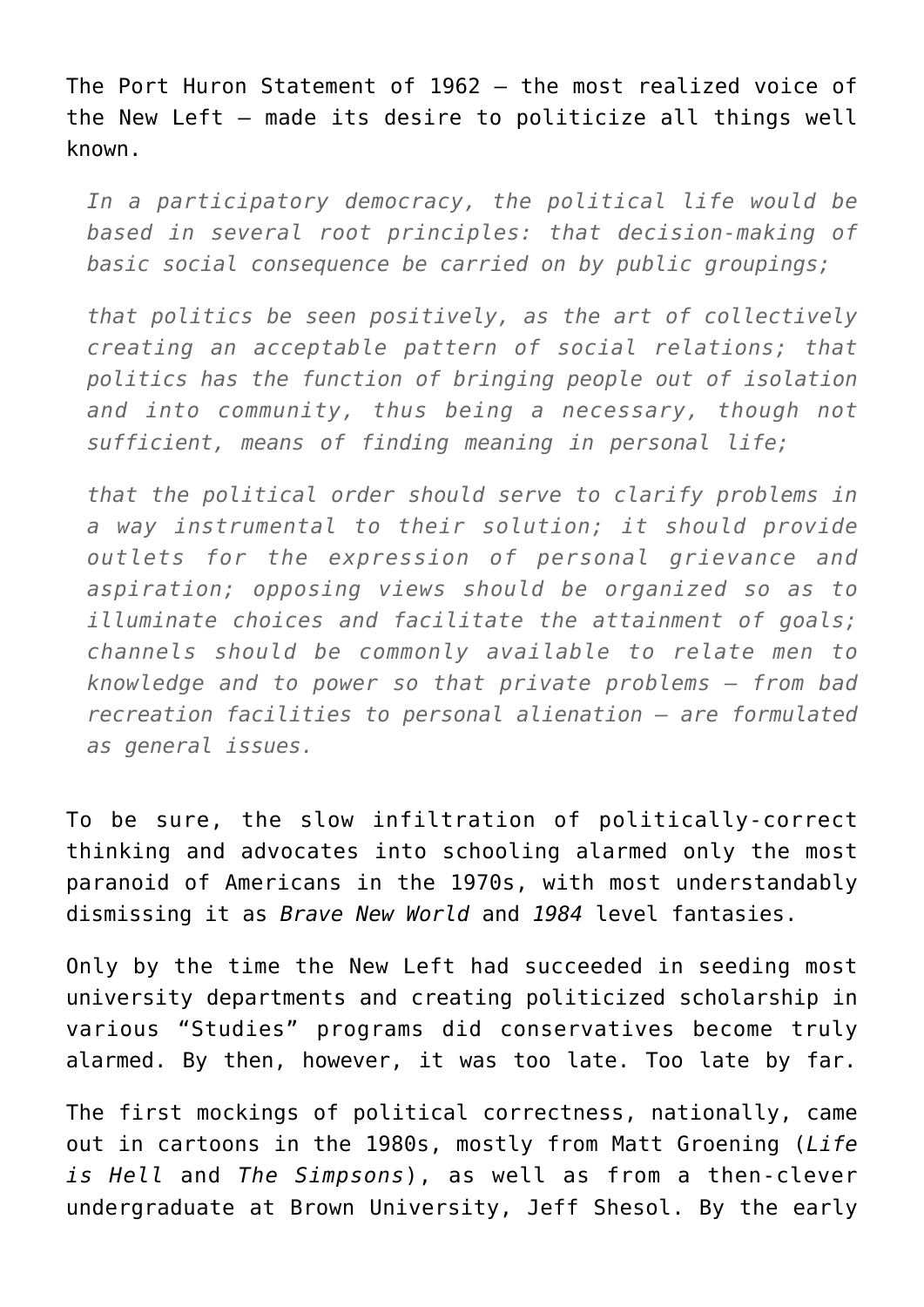The Port Huron Statement of 1962 – the most realized voice of the New Left – made its desire to politicize all things well known.

*In a participatory democracy, the political life would be based in several root principles: that decision-making of basic social consequence be carried on by public groupings;*

*that politics be seen positively, as the art of collectively creating an acceptable pattern of social relations; that politics has the function of bringing people out of isolation and into community, thus being a necessary, though not sufficient, means of finding meaning in personal life;*

*that the political order should serve to clarify problems in a way instrumental to their solution; it should provide outlets for the expression of personal grievance and aspiration; opposing views should be organized so as to illuminate choices and facilitate the attainment of goals; channels should be commonly available to relate men to knowledge and to power so that private problems – from bad recreation facilities to personal alienation – are formulated as general issues.*

To be sure, the slow infiltration of politically-correct thinking and advocates into schooling alarmed only the most paranoid of Americans in the 1970s, with most understandably dismissing it as *Brave New World* and *1984* level fantasies.

Only by the time the New Left had succeeded in seeding most university departments and creating politicized scholarship in various "Studies" programs did conservatives become truly alarmed. By then, however, it was too late. Too late by far.

The first mockings of political correctness, nationally, came out in cartoons in the 1980s, mostly from Matt Groening (*Life is Hell* and *The Simpsons*), as well as from a then-clever undergraduate at Brown University, Jeff Shesol. By the early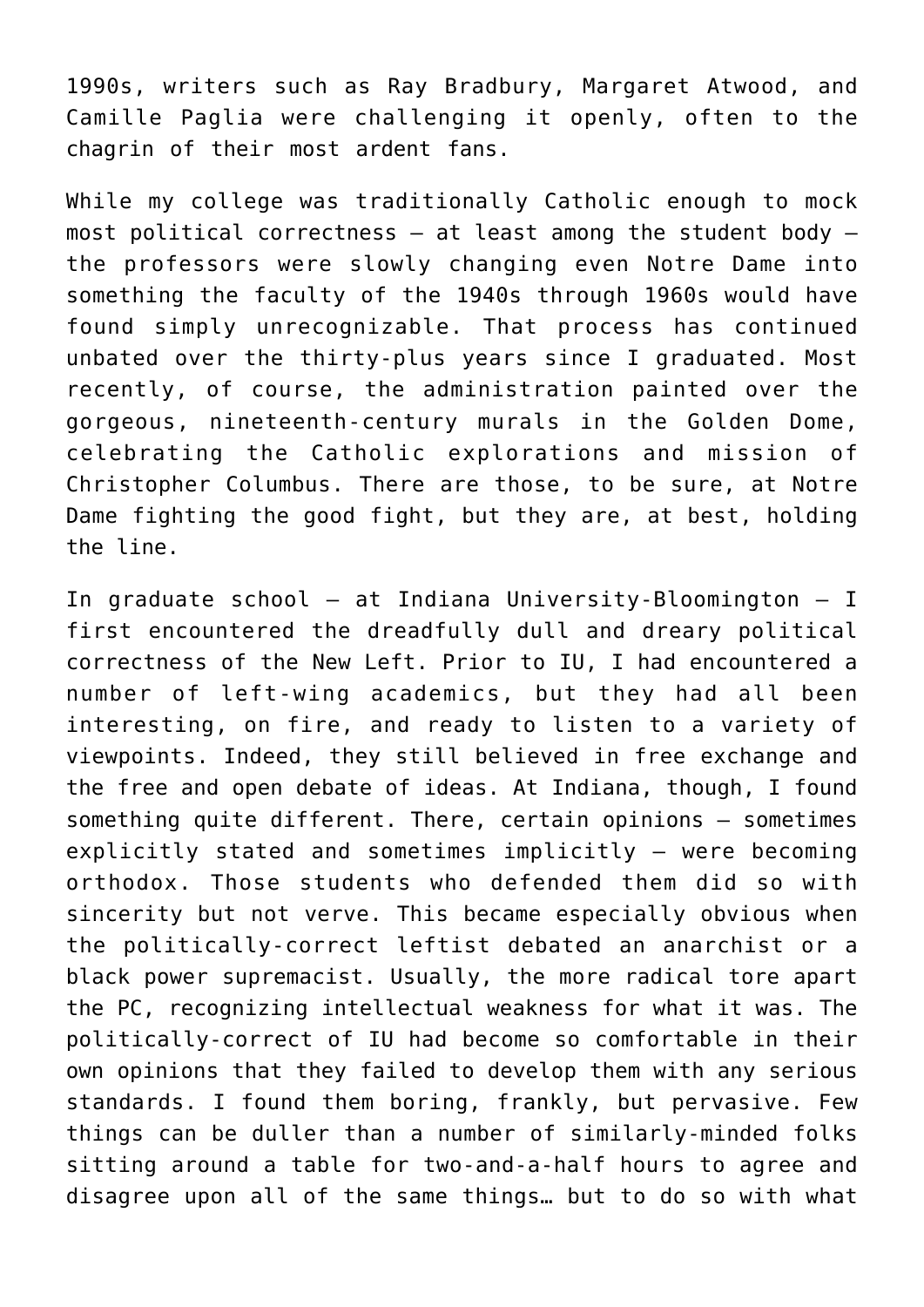1990s, writers such as Ray Bradbury, Margaret Atwood, and Camille Paglia were challenging it openly, often to the chagrin of their most ardent fans.

While my college was traditionally Catholic enough to mock most political correctness  $-$  at least among the student body  $$ the professors were slowly changing even Notre Dame into something the faculty of the 1940s through 1960s would have found simply unrecognizable. That process has continued unbated over the thirty-plus years since I graduated. Most recently, of course, the administration painted over the gorgeous, nineteenth-century murals in the Golden Dome, celebrating the Catholic explorations and mission of Christopher Columbus. There are those, to be sure, at Notre Dame fighting the good fight, but they are, at best, holding the line.

In graduate school – at Indiana University-Bloomington – I first encountered the dreadfully dull and dreary political correctness of the New Left. Prior to IU, I had encountered a number of left-wing academics, but they had all been interesting, on fire, and ready to listen to a variety of viewpoints. Indeed, they still believed in free exchange and the free and open debate of ideas. At Indiana, though, I found something quite different. There, certain opinions – sometimes explicitly stated and sometimes implicitly – were becoming orthodox. Those students who defended them did so with sincerity but not verve. This became especially obvious when the politically-correct leftist debated an anarchist or a black power supremacist. Usually, the more radical tore apart the PC, recognizing intellectual weakness for what it was. The politically-correct of IU had become so comfortable in their own opinions that they failed to develop them with any serious standards. I found them boring, frankly, but pervasive. Few things can be duller than a number of similarly-minded folks sitting around a table for two-and-a-half hours to agree and disagree upon all of the same things… but to do so with what